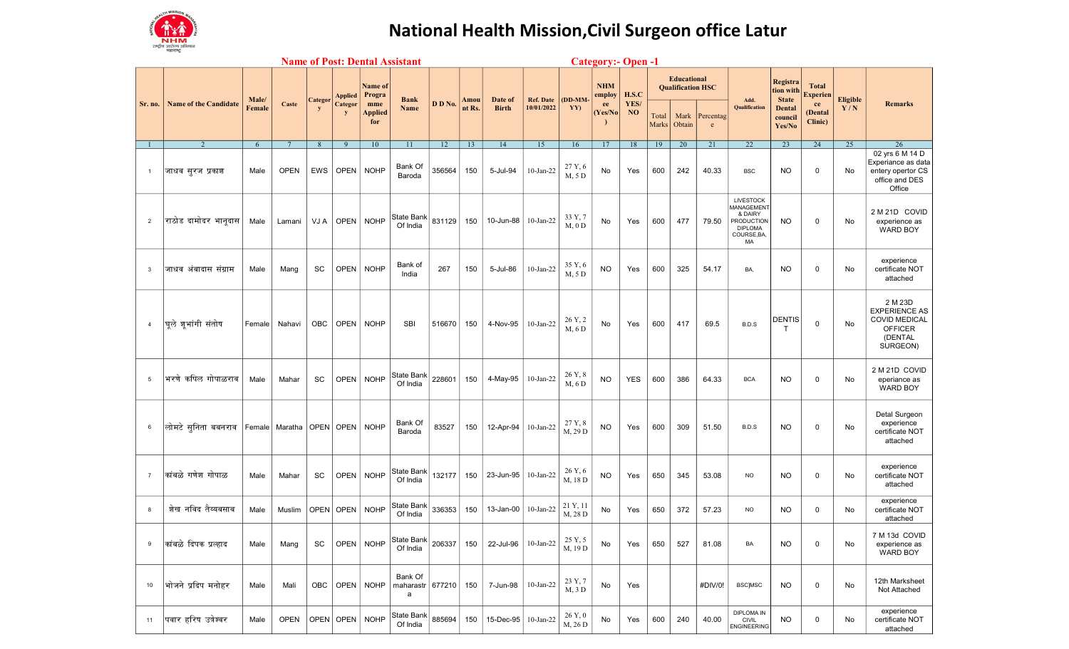

## National Health Mission, Civil Surgeon office Latur

|                | <b>Name of Post: Dental Assistant</b><br><b>Category:- Open -1</b> |                 |                                       |              |                                |                                                          |                                    |         |                |                         |                                |                                  |                                        |                                 |                |                                                                  |                |                                                                                                      |                                                                      |                                                             |                        |                                                                                                  |
|----------------|--------------------------------------------------------------------|-----------------|---------------------------------------|--------------|--------------------------------|----------------------------------------------------------|------------------------------------|---------|----------------|-------------------------|--------------------------------|----------------------------------|----------------------------------------|---------------------------------|----------------|------------------------------------------------------------------|----------------|------------------------------------------------------------------------------------------------------|----------------------------------------------------------------------|-------------------------------------------------------------|------------------------|--------------------------------------------------------------------------------------------------|
| Sr. no.        | <b>Name of the Candidate</b>                                       | Male/<br>Female | Caste                                 | Categor<br>V | <b>Applied</b><br>Categor<br>y | <b>Name of</b><br>Progra<br>mme<br><b>Applied</b><br>for | <b>Bank</b><br>Name                | D D No. | Amou<br>nt Rs. | Date of<br><b>Birth</b> | <b>Ref. Date</b><br>10/01/2022 | $\overline{OD\text{-}MM}$<br>YY) | <b>NHM</b><br>employ<br>ee<br>(Yes/No) | H.S.C<br>YES/<br>N <sub>O</sub> | Total<br>Marks | <b>Educational</b><br><b>Qualification HSC</b><br>Mark<br>Obtain | Percentag<br>e | Add.<br><b>Qualification</b>                                                                         | Registra<br>tion with<br><b>State</b><br>Dental<br>council<br>Yes/No | <b>Total</b><br><b>Experien</b><br>ce<br>(Dental<br>Clinic) | <b>Eligible</b><br>Y/N | <b>Remarks</b>                                                                                   |
| $\mathbf{1}$   | $\overline{2}$                                                     | 6               | $7\overline{ }$                       | 8            | 9                              | 10                                                       | 11                                 | 12      | 13             | 14                      | 15                             | 16                               | 17                                     | 18                              | 19             | 20                                                               | 21             | 22                                                                                                   | 23                                                                   | 24                                                          | 25                     | 26                                                                                               |
| $\mathbf{1}$   | जाधव सूरज प्रकाश                                                   | Male            | <b>OPEN</b>                           | <b>EWS</b>   | <b>OPEN</b>                    | <b>NOHP</b>                                              | Bank Of<br>Baroda                  | 356564  | 150            | 5-Jul-94                | $10$ -Jan-22                   | 27 Y, 6<br>M, 5 D                | No                                     | Yes                             | 600            | 242                                                              | 40.33          | <b>BSC</b>                                                                                           | <b>NO</b>                                                            | 0                                                           | No                     | 02 yrs 6 M 14 D<br>Experiance as data<br>entery opertor CS<br>office and DES<br>Office           |
| 2              | राठोड दामोदर भानुदास                                               | Male            | Lamani                                | VJ A         | OPEN                           | <b>NOHP</b>                                              | State Bank<br>Of India             | 831129  | 150            | 10-Jun-88 10-Jan-22     |                                | 33 Y, 7<br>$M, 0$ D              | No                                     | Yes                             | 600            | 477                                                              | 79.50          | <b>LIVESTOCK</b><br><b>MANAGEMENT</b><br>& DAIRY<br>PRODUCTION<br><b>DIPLOMA</b><br>COURSE, BA<br>MA | <b>NO</b>                                                            | 0                                                           | No                     | 2 M 21D COVID<br>experience as<br><b>WARD BOY</b>                                                |
| 3              | जाधव अंबादास संग्राम                                               | Male            | Mang                                  | SC           | <b>OPEN</b>                    | <b>NOHP</b>                                              | Bank of<br>India                   | 267     | 150            | 5-Jul-86                | $10$ -Jan-22                   | 35 Y, 6<br>M, 5 D                | <b>NO</b>                              | Yes                             | 600            | 325                                                              | 54.17          | BA,                                                                                                  | <b>NO</b>                                                            | 0                                                           | No                     | experience<br>certificate NOT<br>attached                                                        |
| 4              | घूले शूभांगी संतोष                                                 | Female          | Nahavi                                | <b>OBC</b>   | OPEN                           | <b>NOHP</b>                                              | <b>SBI</b>                         | 516670  | 150            | 4-Nov-95                | 10-Jan-22                      | 26 Y, 2<br>M, 6D                 | No                                     | Yes                             | 600            | 417                                                              | 69.5           | B.D.S                                                                                                | <b>DENTIS</b><br>T                                                   | 0                                                           | No                     | 2 M 23D<br><b>EXPERIENCE AS</b><br><b>COVID MEDICAL</b><br><b>OFFICER</b><br>(DENTAL<br>SURGEON) |
| 5              | भरणे कपिल गोपाळराव                                                 | Male            | Mahar                                 | SC           | <b>OPEN</b>                    | <b>NOHP</b>                                              | State Bank<br>Of India             | 228601  | 150            | 4-May-95                | $10$ -Jan-22                   | 26 Y, 8<br>M, 6 D                | <b>NO</b>                              | <b>YES</b>                      | 600            | 386                                                              | 64.33          | <b>BCA</b>                                                                                           | <b>NO</b>                                                            | 0                                                           | No                     | 2 M 21D COVID<br>eperiance as<br><b>WARD BOY</b>                                                 |
| 6              | लोमटे सुनिता बबनराव                                                |                 | Female   Maratha   OPEN   OPEN   NOHP |              |                                |                                                          | Bank Of<br>Baroda                  | 83527   | 150            | 12-Apr-94               | 10-Jan-22                      | 27 Y, 8<br>M, 29 D               | <b>NO</b>                              | Yes                             | 600            | 309                                                              | 51.50          | B.D.S                                                                                                | <b>NO</b>                                                            | 0                                                           | No                     | Detal Surgeon<br>experience<br>certificate NOT<br>attached                                       |
| $\overline{7}$ | कांबळे गणेश गोपाळ                                                  | Male            | Mahar                                 | SC           | <b>OPEN</b>                    | <b>NOHP</b>                                              | State Bank<br>Of India             | 132177  | 150            | 23-Jun-95   10-Jan-22   |                                | 26 Y, 6<br>M, 18 D               | <b>NO</b>                              | Yes                             | 650            | 345                                                              | 53.08          | <b>NO</b>                                                                                            | <b>NO</b>                                                            | 0                                                           | No                     | experience<br>certificate NOT<br>attached                                                        |
| 8              | शेख नविद तैय्यबसाब                                                 | Male            | Muslim                                |              | OPEN OPEN                      | <b>NOHP</b>                                              | State Bank<br>Of India             | 336353  | 150            | 13-Jan-00               | $10$ -Jan-22                   | 21 Y, 11<br>M, 28 D              | No                                     | Yes                             | 650            | 372                                                              | 57.23          | <b>NO</b>                                                                                            | <b>NO</b>                                                            | 0                                                           | No                     | experience<br>certificate NOT<br>attached                                                        |
| 9              | कांबळे दिपक प्रल्हाद                                               | Male            | Mang                                  | SC           |                                | OPEN   NOHP                                              | State Bank<br>Of India             | 206337  | 150            | 22-Jul-96               | 10-Jan-22                      | 25 Y, 5<br>M, 19 D               | No                                     | Yes                             | 650            | 527                                                              | 81.08          | BA                                                                                                   | <b>NO</b>                                                            | 0                                                           | No                     | 7 M 13d COVID<br>experience as<br><b>WARD BOY</b>                                                |
| 10             | भोजने प्रदिप मनोहर                                                 | Male            | Mali                                  | <b>OBC</b>   |                                | OPEN   NOHP                                              | Bank Of<br>maharastr   677210<br>a |         | 150            | 7-Jun-98                | $10$ -Jan-22                   | 23 Y, 7<br>M, 3D                 | No                                     | Yes                             |                |                                                                  | #DIV/0!        | <b>BSCJMSC</b>                                                                                       | <b>NO</b>                                                            | 0                                                           | No                     | 12th Marksheet<br>Not Attached                                                                   |
| 11             | पवार हरिष उत्रेश्वर                                                | Male            | <b>OPEN</b>                           |              | OPEN OPEN                      | <b>NOHP</b>                                              | State Bank<br>Of India             | 885694  | 150            | 15-Dec-95   10-Jan-22   |                                | 26 Y, 0<br>M, 26 D               | No                                     | Yes                             | 600            | 240                                                              | 40.00          | <b>DIPLOMA IN</b><br><b>CIVIL</b><br><b>ENGINEERING</b>                                              | NO.                                                                  | 0                                                           | No                     | experience<br>certificate NOT<br>attached                                                        |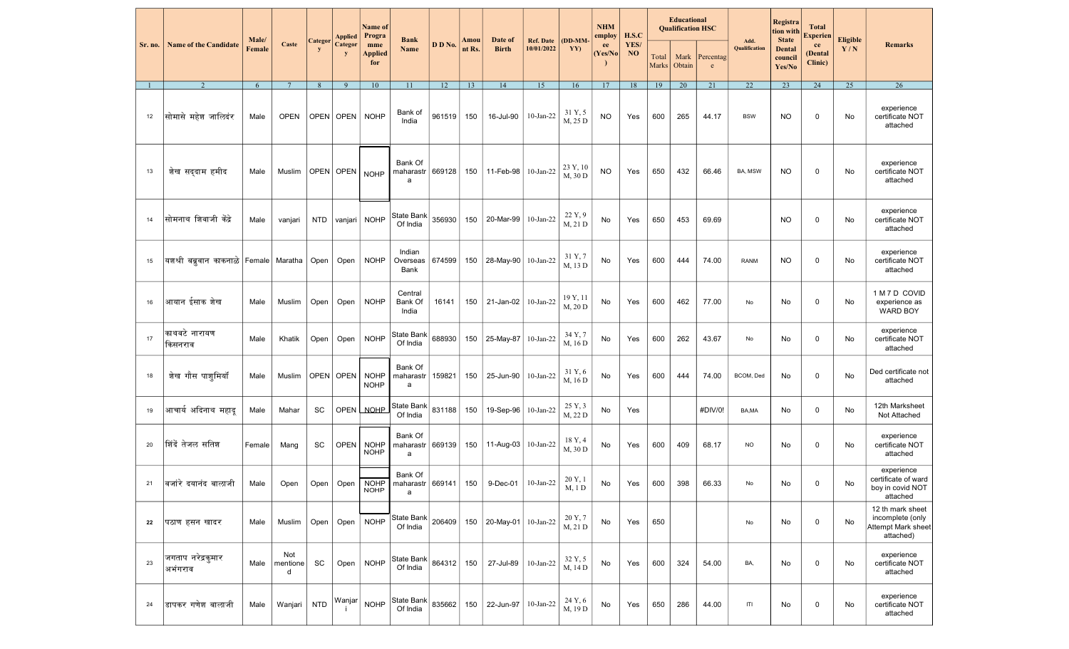|         |                                                                                  |                 |                      |             | <b>Applied</b>                           | <b>Name</b> of<br>Progra   | <b>Bank</b>                                    |            |                |                         |                                |                     | <b>NHM</b><br>employ | H.S.C      |                | <b>Educational</b><br><b>Oualification HSC</b> |                                                         |                       | <b>Registra</b><br>tion with                | <b>Total</b><br><b>Experien</b> |                        |                                                                         |
|---------|----------------------------------------------------------------------------------|-----------------|----------------------|-------------|------------------------------------------|----------------------------|------------------------------------------------|------------|----------------|-------------------------|--------------------------------|---------------------|----------------------|------------|----------------|------------------------------------------------|---------------------------------------------------------|-----------------------|---------------------------------------------|---------------------------------|------------------------|-------------------------------------------------------------------------|
| Sr. no. | <b>Name of the Candidate</b>                                                     | Male/<br>Female | Caste                | Categor     | Categor                                  | mme<br>Applied<br>for      | Name                                           | D D No.    | Amou<br>nt Rs. | Date of<br><b>Birth</b> | <b>Ref. Date</b><br>10/01/2022 | $(DD-MM)$<br>YY)    | ee<br>(Yes/No        | YES/<br>NO | Total<br>Marks | Mark<br>Obtain                                 | Percentag<br>$\mathbf{e}% _{0}\left( \mathbf{1}\right)$ | Add.<br>Qualification | <b>State</b><br>Dental<br>council<br>Yes/No | ce<br>(Dental<br>Clinic)        | <b>Eligible</b><br>Y/N | <b>Remarks</b>                                                          |
|         |                                                                                  | 6               | $7\phantom{.0}$      | 8           | 9                                        | 10                         | 11                                             | 12         | 13             | 14                      | 15                             | 16                  | 17                   | 18         | 19             | 20                                             | 21                                                      | 22                    | 23                                          | 24                              | 25                     | 26                                                                      |
| 12      | सोमासे महेश जालिदंर                                                              | Male            | <b>OPEN</b>          | <b>OPEN</b> | <b>OPEN</b>                              | <b>NOHP</b>                | Bank of<br>India                               | 961519     | 150            | 16-Jul-90               | $10$ -Jan-22                   | 31 Y, 5<br>M, 25 D  | <b>NO</b>            | Yes        | 600            | 265                                            | 44.17                                                   | <b>BSW</b>            | NO.                                         | 0                               | No                     | experience<br>certificate NOT<br>attached                               |
| 13      | शेख सद्दाम हमीद                                                                  | Male            | Muslim               |             | $ \mathsf{OPEN} $ OPEN $ \mathsf{NOHP} $ |                            | Bank Of<br>maharastr<br>a                      | 669128     | 150            | 11-Feb-98               | $10$ -Jan-22                   | 23 Y, 10<br>M, 30 D | <b>NO</b>            | Yes        | 650            | 432                                            | 66.46                                                   | BA, MSW               | NO                                          | $\mathbf 0$                     | No                     | experience<br>certificate NOT<br>attached                               |
| 14      | सोमनाथ शिवाजी केंद्रे                                                            | Male            | vanjari              | <b>NTD</b>  | vanjari                                  | <b>NOHP</b>                | State Bank<br>Of India                         | 356930     | 150            | 20-Mar-99               | $10$ -Jan-22                   | 22 Y, 9<br>M, 21 D  | No                   | Yes        | 650            | 453                                            | 69.69                                                   |                       | <b>NO</b>                                   | $\mathbf 0$                     | No                     | experience<br>certificate NOT<br>attached                               |
| 15      | $\left $ यशश्री बब्रूवान काकनाळे $\left $ Female $\right $ Maratha $\left $ Open |                 |                      |             | Open                                     | <b>NOHP</b>                | Indian<br>Overseas<br>Bank                     | 674599     | 150            | 28-May-90 10-Jan-22     |                                | 31 Y, 7<br>M, 13 D  | No                   | Yes        | 600            | 444                                            | 74.00                                                   | <b>RANM</b>           | <b>NO</b>                                   | $\mathbf 0$                     | No                     | experience<br>certificate NOT<br>attached                               |
| 16      | आयान ईसाक शेख                                                                    | Male            | Muslim               | Open        | Open                                     | <b>NOHP</b>                | Central<br>Bank Of<br>India                    | 16141      | 150            | 21-Jan-02 10-Jan-22     |                                | 19 Y, 11<br>M, 20 D | No                   | Yes        | 600            | 462                                            | 77.00                                                   | No                    | No                                          | $\mathbf 0$                     | No                     | 1 M 7 D COVID<br>experience as<br>WARD BOY                              |
| 17      | काथवटे नारायण<br>किसनराव                                                         | Male            | Khatik               | Open        | Open                                     | <b>NOHP</b>                | State Bank<br>Of India                         | 688930     | 150            | 25-May-87 10-Jan-22     |                                | 34 Y, 7<br>M, 16 D  | No                   | Yes        | 600            | 262                                            | 43.67                                                   | No                    | No                                          | $\mathbf 0$                     | No                     | experience<br>certificate NOT<br>attached                               |
| 18      | शेख गौस पाशूमियाँ                                                                | Male            | Muslim               |             | OPEN OPEN                                | <b>NOHP</b><br><b>NOHP</b> | Bank Of<br>maharastr<br>a                      | 159821     | 150            | 25-Jun-90               | 10-Jan-22                      | 31 Y, 6<br>M, 16 D  | No                   | Yes        | 600            | 444                                            | 74.00                                                   | BCOM, Ded             | No                                          | $\mathbf 0$                     | No                     | Ded certificate not<br>attached                                         |
| 19      | आचार्य अदिनाथ महादू                                                              | Male            | Mahar                | SC          |                                          | OPEN NOHP                  | State Bank<br>Of India                         | 831188     | 150            | 19-Sep-96               | 10-Jan-22                      | 25 Y, 3<br>M, 22 D  | No                   | Yes        |                |                                                | #DIV/0!                                                 | BA,MA                 | No                                          | 0                               | No                     | 12th Marksheet<br>Not Attached                                          |
| 20      | शिंदें तेजल सतिश                                                                 | Female          | Mang                 | SC          | <b>OPEN</b>                              | <b>NOHP</b><br><b>NOHP</b> | Bank Of<br>maharastr<br>a                      | 669139     | 150            | 11-Aug-03 10-Jan-22     |                                | 18 Y, 4<br>M, 30 D  | No                   | Yes        | 600            | 409                                            | 68.17                                                   | NO                    | No                                          | $\mathbf 0$                     | No                     | experience<br>certificate NOT<br>attached                               |
| 21      | ∣वजांरे दयानंद बालाजी                                                            | Male            | Open                 | Open        |                                          | <b>NOHP</b>                | Bank Of<br>Open   NOHP   maharastr 669141<br>a |            | 150            | 9-Dec-01   $10$ -Jan-22 |                                | 20 Y, 1<br>M, 1 D   | No                   | Yes        | 600            | 398                                            | 66.33                                                   | No                    | No                                          | 0                               | No                     | experience<br>certificate of ward<br>boy in covid NOT<br>attached       |
| 22      | पठाण हसन खादर                                                                    | Male            | Muslim               | Open        | Open                                     | <b>NOHP</b>                | State Bank<br>Of India                         | 206409     | 150            | 20-May-01 10-Jan-22     |                                | 20 Y, 7<br>M, 21 D  | No                   | Yes        | 650            |                                                |                                                         | No                    | No                                          | $\mathbf 0$                     | No                     | 12 th mark sheet<br>incomplete (only<br>Attempt Mark sheet<br>attached) |
| 23      | जगताप नरेद्रकमार<br>अभंगराव                                                      | Male            | Not<br>mentione<br>d | SC          | Open                                     | <b>NOHP</b>                | State Bank<br>Of India                         | 864312 150 |                | 27-Jul-89               | $10$ -Jan-22                   | 32 Y, 5<br>M, 14 D  | No                   | Yes        | 600            | 324                                            | 54.00                                                   | BA,                   | No                                          | $\mathbf 0$                     | No                     | experience<br>certificate NOT<br>attached                               |
| 24      | डापकर गणेश बालाजी                                                                | Male            | Wanjari              | <b>NTD</b>  | Wanjar                                   | <b>NOHP</b>                | State Bank<br>Of India                         | 835662     | 150            | 22-Jun-97               | 10-Jan-22                      | 24 Y, 6<br>M, 19 D  | No                   | Yes        | 650            | 286                                            | 44.00                                                   | ITI                   | No                                          | $\mathbf 0$                     | No                     | experience<br>certificate NOT<br>attached                               |